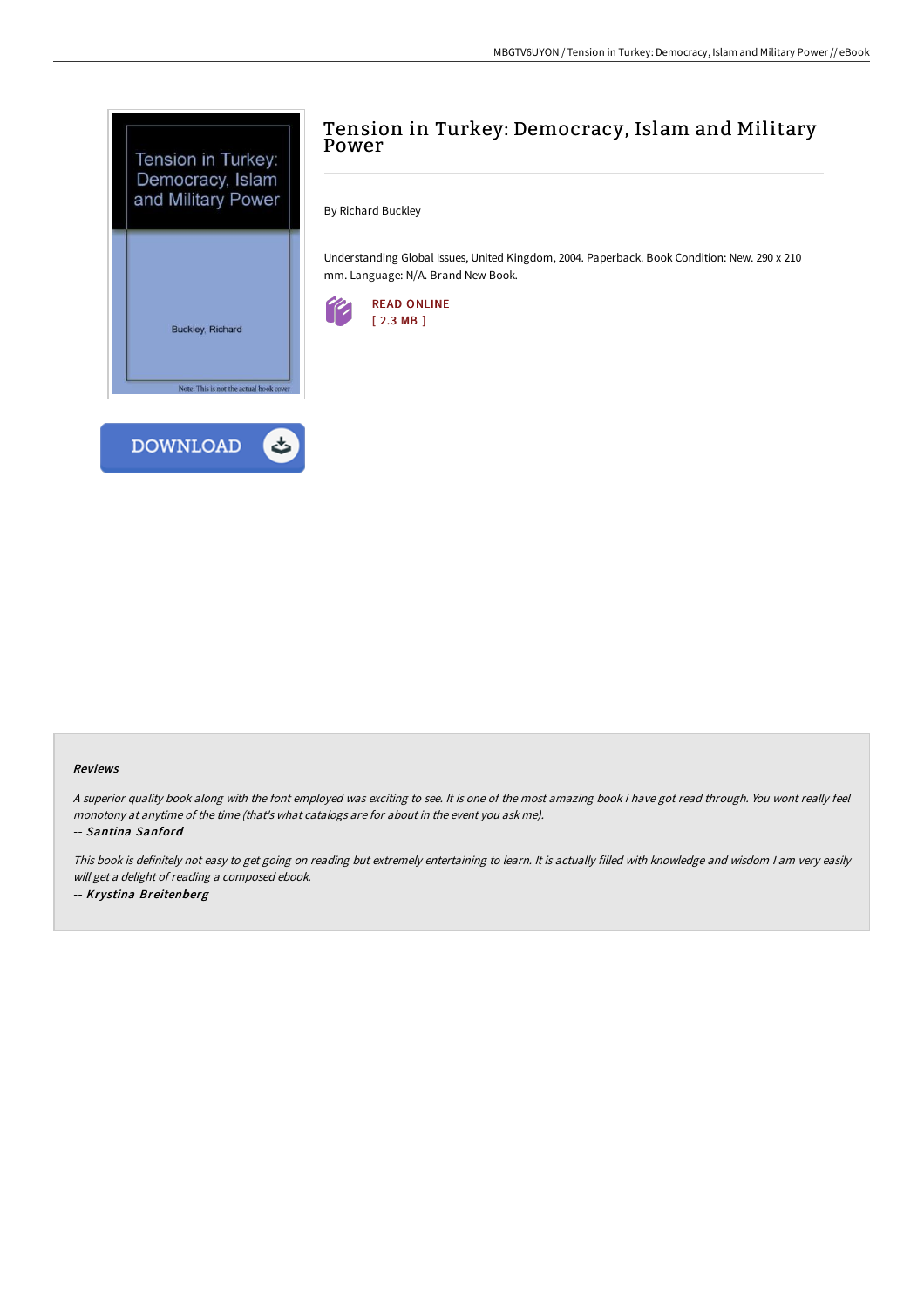

# Tension in Turkey: Democracy, Islam and Military Power

By Richard Buckley

Understanding Global Issues, United Kingdom, 2004. Paperback. Book Condition: New. 290 x 210 mm. Language: N/A. Brand New Book.



#### Reviews

<sup>A</sup> superior quality book along with the font employed was exciting to see. It is one of the most amazing book i have got read through. You wont really feel monotony at anytime of the time (that's what catalogs are for about in the event you ask me).

-- Santina Sanford

This book is definitely not easy to get going on reading but extremely entertaining to learn. It is actually filled with knowledge and wisdom <sup>I</sup> am very easily will get <sup>a</sup> delight of reading <sup>a</sup> composed ebook. -- Krystina Breitenberg